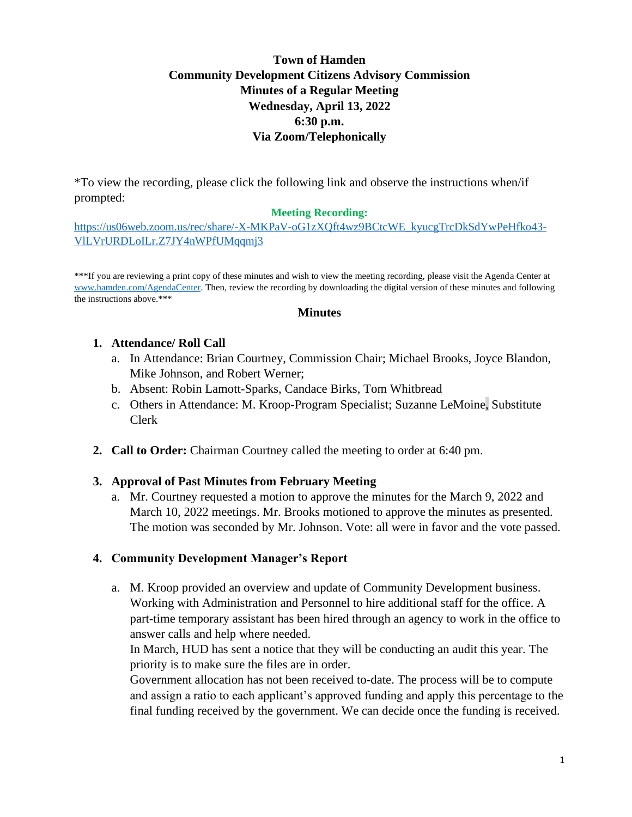# **Town of Hamden Community Development Citizens Advisory Commission Minutes of a Regular Meeting Wednesday, April 13, 2022 6:30 p.m. Via Zoom/Telephonically**

\*To view the recording, please click the following link and observe the instructions when/if prompted:

### **Meeting Recording:**

[https://us06web.zoom.us/rec/share/-X-MKPaV-oG1zXQft4wz9BCtcWE\\_kyucgTrcDkSdYwPeHfko43-](https://urldefense.com/v3/__https:/us06web.zoom.us/rec/share/-X-MKPaV-oG1zXQft4wz9BCtcWE_kyucgTrcDkSdYwPeHfko43-VlLVrURDLoILr.Z7JY4nWPfUMqqmj3__;!!CfiprD0C6IEL0SLVhA0!vNPjrPKSL3RYLqch-N1CZvN3d8rFhGrDlqblSFVbspTAMbDDtaRZQy1-qF67tloUFVuzn0qltpzgLE3pJM3t$) [VlLVrURDLoILr.Z7JY4nWPfUMqqmj3](https://urldefense.com/v3/__https:/us06web.zoom.us/rec/share/-X-MKPaV-oG1zXQft4wz9BCtcWE_kyucgTrcDkSdYwPeHfko43-VlLVrURDLoILr.Z7JY4nWPfUMqqmj3__;!!CfiprD0C6IEL0SLVhA0!vNPjrPKSL3RYLqch-N1CZvN3d8rFhGrDlqblSFVbspTAMbDDtaRZQy1-qF67tloUFVuzn0qltpzgLE3pJM3t$)

\*\*\*If you are reviewing a print copy of these minutes and wish to view the meeting recording, please visit the Agenda Center at [www.hamden.com/AgendaCenter.](http://www.hamden.com/AgendaCenter) Then, review the recording by downloading the digital version of these minutes and following the instructions above.\*\*\*

#### **Minutes**

#### **1. Attendance/ Roll Call**

- a. In Attendance: Brian Courtney, Commission Chair; Michael Brooks, Joyce Blandon, Mike Johnson, and Robert Werner;
- b. Absent: Robin Lamott-Sparks, Candace Birks, Tom Whitbread
- c. Others in Attendance: M. Kroop-Program Specialist; Suzanne LeMoine, Substitute Clerk
- **2. Call to Order:** Chairman Courtney called the meeting to order at 6:40 pm.

## **3. Approval of Past Minutes from February Meeting**

a. Mr. Courtney requested a motion to approve the minutes for the March 9, 2022 and March 10, 2022 meetings. Mr. Brooks motioned to approve the minutes as presented. The motion was seconded by Mr. Johnson. Vote: all were in favor and the vote passed.

## **4. Community Development Manager's Report**

a. M. Kroop provided an overview and update of Community Development business. Working with Administration and Personnel to hire additional staff for the office. A part-time temporary assistant has been hired through an agency to work in the office to answer calls and help where needed.

In March, HUD has sent a notice that they will be conducting an audit this year. The priority is to make sure the files are in order.

Government allocation has not been received to-date. The process will be to compute and assign a ratio to each applicant's approved funding and apply this percentage to the final funding received by the government. We can decide once the funding is received.